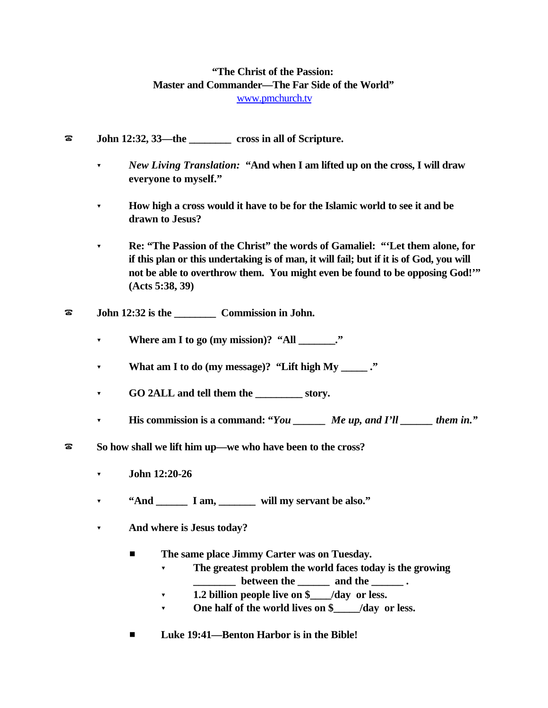## **"The Christ of the Passion: Master and Commander—The Far Side of the World"** www.pmchurch.tv

- ? **John 12:32, 33—the \_\_\_\_\_\_\_\_ cross in all of Scripture.**
	- ? *New Living Translation:* **"And when I am lifted up on the cross, I will draw everyone to myself."**
	- ? **How high a cross would it have to be for the Islamic world to see it and be drawn to Jesus?**
	- ? **Re: "The Passion of the Christ" the words of Gamaliel: "'Let them alone, for if this plan or this undertaking is of man, it will fail; but if it is of God, you will not be able to overthrow them. You might even be found to be opposing God!'" (Acts 5:38, 39)**
- ? **John 12:32 is the \_\_\_\_\_\_\_\_ Commission in John.**
	- ? **Where am I to go (my mission)? "All \_\_\_\_\_\_\_."**
	- ? **What am I to do (my message)? "Lift high My \_\_\_\_\_ ."**
	- ? **GO 2ALL and tell them the \_\_\_\_\_\_\_\_\_ story.**
	- ? **His commission is a command: "***You \_\_\_\_\_\_ Me up, and I'll \_\_\_\_\_\_ them in."*
- ? **So how shall we lift him up—we who have been to the cross?**
	- ? **John 12:20-26**
	- ? **"And \_\_\_\_\_\_ I am, \_\_\_\_\_\_\_ will my servant be also."**
	- ? **And where is Jesus today?**
		- The same place Jimmy Carter was on Tuesday.
			- ? **The greatest problem the world faces today is the growing \_\_\_\_\_\_\_\_ between the \_\_\_\_\_\_ and the \_\_\_\_\_\_ .**
			- ? **1.2 billion people live on \$\_\_\_\_/day or less.**
			- ? **One half of the world lives on \$\_\_\_\_\_/day or less.**
		- Luke 19:41—Benton Harbor is in the Bible!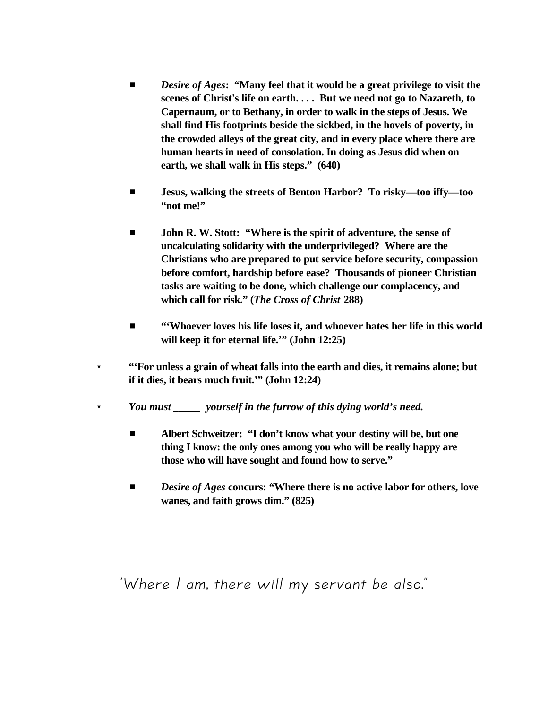- **EXECUTE:** Desire of Ages: "Many feel that it would be a great privilege to visit the **scenes of Christ's life on earth. . . . But we need not go to Nazareth, to Capernaum, or to Bethany, in order to walk in the steps of Jesus. We shall find His footprints beside the sickbed, in the hovels of poverty, in the crowded alleys of the great city, and in every place where there are human hearts in need of consolation. In doing as Jesus did when on earth, we shall walk in His steps." (640)**
- # **Jesus, walking the streets of Benton Harbor? To risky—too iffy—too "not me!"**
- $\blacksquare$  **John R. W. Stott: "Where is the spirit of adventure, the sense of uncalculating solidarity with the underprivileged? Where are the Christians who are prepared to put service before security, compassion before comfort, hardship before ease? Thousands of pioneer Christian tasks are waiting to be done, which challenge our complacency, and which call for risk." (***The Cross of Christ* **288)**
- $\blacksquare$  "Whoever loves his life loses it, and whoever hates her life in this world **will keep it for eternal life.'" (John 12:25)**
- ? **"'For unless a grain of wheat falls into the earth and dies, it remains alone; but if it dies, it bears much fruit.'" (John 12:24)**
- ? *You must \_\_\_\_\_ yourself in the furrow of this dying world's need.*
	- $\blacksquare$  Albert Schweitzer: "I don't know what your destiny will be, but one **thing I know: the only ones among you who will be really happy are those who will have sought and found how to serve."**
	- $\blacksquare$  *Desire of Ages* concurs: "Where there is no active labor for others, love **wanes, and faith grows dim." (825)**

"Where I am, there will my servant be also."